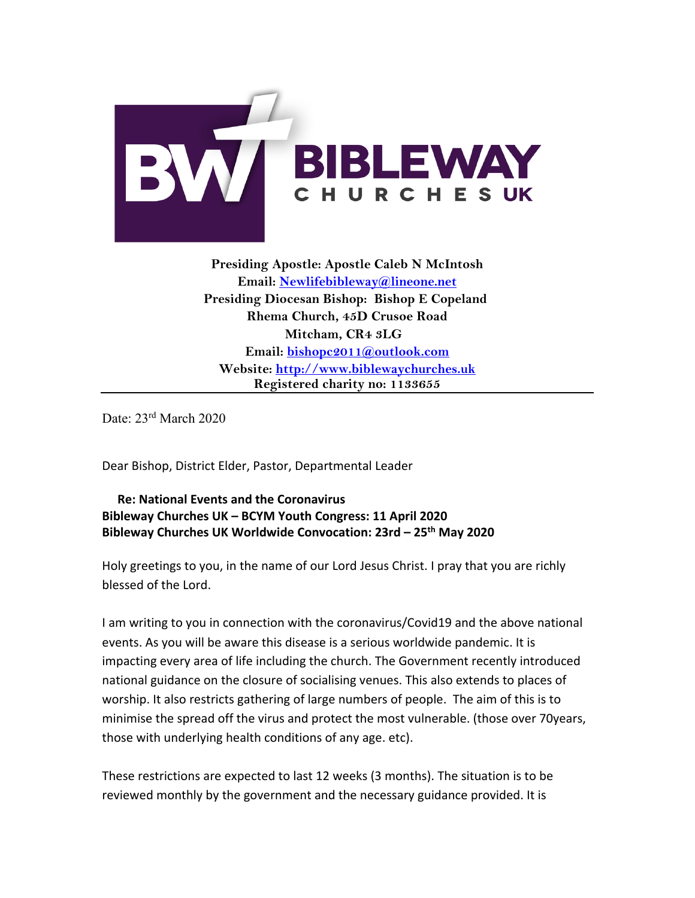

**Presiding Apostle: Apostle Caleb N McIntosh Email: [Newlifebibleway@lineone.net](mailto:Newlifebibleway@lineone.net) Presiding Diocesan Bishop: Bishop E Copeland Rhema Church, 45D Crusoe Road Mitcham, CR4 3LG Email: [bishopc2011@outlook.com](mailto:bishopc2011@outlook.com) Website: [http://www.biblewaychurches.uk](http://www.biblewaychurches.uk/) Registered charity no: 1133655**

Date: 23<sup>rd</sup> March 2020

Dear Bishop, District Elder, Pastor, Departmental Leader

 **Re: National Events and the Coronavirus Bibleway Churches UK – BCYM Youth Congress: 11 April 2020 Bibleway Churches UK Worldwide Convocation: 23rd – 25th May 2020**

Holy greetings to you, in the name of our Lord Jesus Christ. I pray that you are richly blessed of the Lord.

I am writing to you in connection with the coronavirus/Covid19 and the above national events. As you will be aware this disease is a serious worldwide pandemic. It is impacting every area of life including the church. The Government recently introduced national guidance on the closure of socialising venues. This also extends to places of worship. It also restricts gathering of large numbers of people. The aim of this is to minimise the spread off the virus and protect the most vulnerable. (those over 70years, those with underlying health conditions of any age. etc).

These restrictions are expected to last 12 weeks (3 months). The situation is to be reviewed monthly by the government and the necessary guidance provided. It is